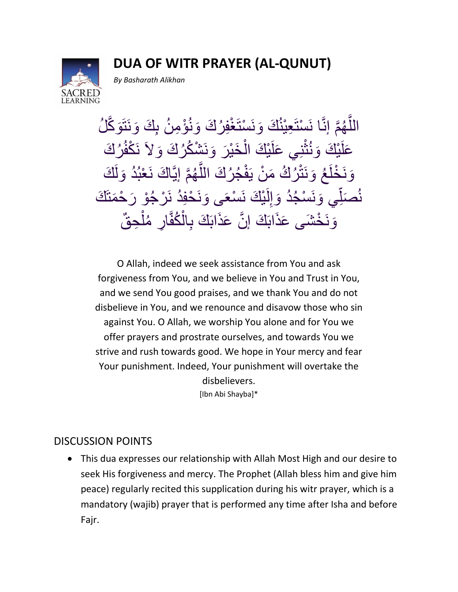**DUA OF WITR PRAYER (AL-QUNUT)**



*By Basharath Alikhan*

اللَّهُمَّ إنَّا نَسْتَعِيْنُكَ وَنَسْتَغْفِرُكَ وَنُوْمِنُ بِكَ وَنَتَوَكَّلُ و<br>∟ ءَ<br>آ ر<br>پ َّ و<br>پ عَلَيْكَ وَنُثْنِي عَلَيْكَ الْخَيْرَ وَنَشْكُرُكَ وَلاَ نَكْفُرُكَ ْ **أْمُعَا** ر<br>پ وَنَخْلَعُ وَنَتْرُكُ مَنْ يَفْجُرُكَ اللَّهُمَّ إِيَّاكَ نَعْبُدُ وَلَكَ ر<br>ب ر<br>ب ر<br>ح ر<br><del>)</del> َّ نُصَلِّي وَنَسْجُدُ وَإِلَيْكَ نَسْعَى وَنَحْفِدُ نَرْجُوْ رَحْمَتَكَ  $\ddot{\phantom{a}}$ و<br>∟ لَ  $\frac{1}{2}$ ر<br>پا و<br>م ر<br>د وَنَخْشَى عَذَابَكَ إِنَّ عَذَابَكَ بِالْكُفَّارِ مُلْحِقٌّ **ا** ء<br>م ِت<br>ٌم ْ

O Allah, indeed we seek assistance from You and ask forgiveness from You, and we believe in You and Trust in You, and we send You good praises, and we thank You and do not disbelieve in You, and we renounce and disavow those who sin against You. O Allah, we worship You alone and for You we offer prayers and prostrate ourselves, and towards You we strive and rush towards good. We hope in Your mercy and fear Your punishment. Indeed, Your punishment will overtake the disbelievers. [Ibn Abi Shayba]\*

## DISCUSSION POINTS

 This dua expresses our relationship with Allah Most High and our desire to seek His forgiveness and mercy. The Prophet (Allah bless him and give him peace) regularly recited this supplication during his witr prayer, which is a mandatory (wajib) prayer that is performed any time after Isha and before Fajr.